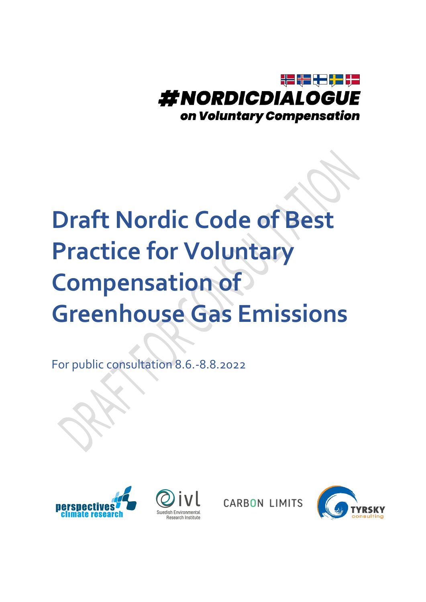

# **Draft Nordic Code of Best Practice for Voluntary Compensation of Greenhouse Gas Emissions**

For public consultation 8.6.-8.8.2022





**CARBON LIMITS** 

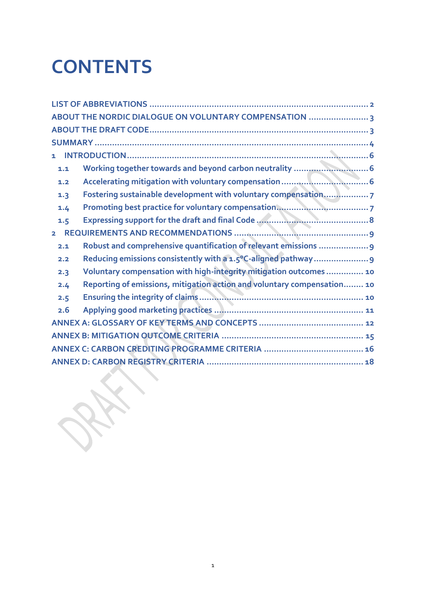# **CONTENTS**

|                | ABOUT THE NORDIC DIALOGUE ON VOLUNTARY COMPENSATION                     |
|----------------|-------------------------------------------------------------------------|
|                |                                                                         |
|                |                                                                         |
| $\mathbf{1}$   |                                                                         |
| 1.1            |                                                                         |
| 1.2            |                                                                         |
| 1.3            | Fostering sustainable development with voluntary compensation 7         |
| 1.4            |                                                                         |
| 1.5            |                                                                         |
| $\overline{2}$ |                                                                         |
| 2.1            | Robust and comprehensive quantification of relevant emissions  9        |
| 2.2            |                                                                         |
| 2.3            | Voluntary compensation with high-integrity mitigation outcomes 10       |
| 2.4            | Reporting of emissions, mitigation action and voluntary compensation 10 |
| 2.5            |                                                                         |
| 2.6            |                                                                         |
|                |                                                                         |
|                |                                                                         |
|                |                                                                         |
|                |                                                                         |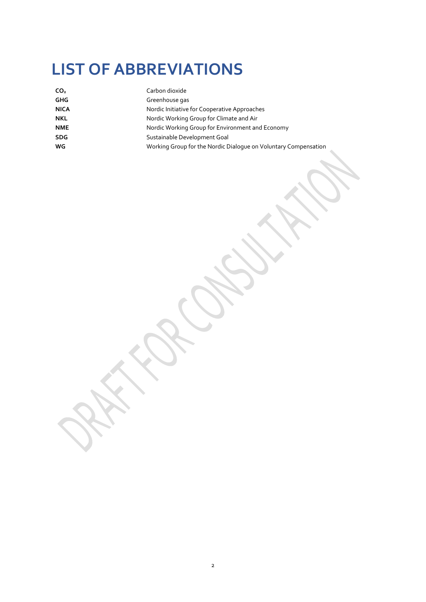### <span id="page-2-0"></span>**LIST OF ABBREVIATIONS**

| CO <sub>2</sub> | Carbon dioxide                                                  |
|-----------------|-----------------------------------------------------------------|
| <b>GHG</b>      | Greenhouse gas                                                  |
| <b>NICA</b>     | Nordic Initiative for Cooperative Approaches                    |
| <b>NKL</b>      | Nordic Working Group for Climate and Air                        |
| <b>NME</b>      | Nordic Working Group for Environment and Economy                |
| <b>SDG</b>      | Sustainable Development Goal                                    |
| WG              | Working Group for the Nordic Dialogue on Voluntary Compensation |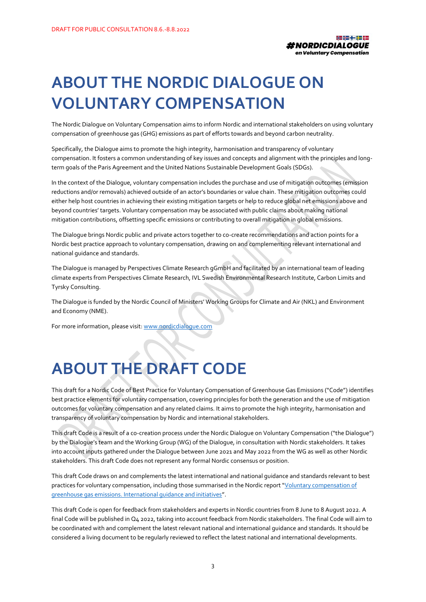

### <span id="page-3-0"></span>**ABOUT THE NORDIC DIALOGUE ON VOLUNTARY COMPENSATION**

The Nordic Dialogue on Voluntary Compensation aims to inform Nordic and international stakeholders on using voluntary compensation of greenhouse gas (GHG) emissions as part of efforts towards and beyond carbon neutrality.

Specifically, the Dialogue aims to promote the high integrity, harmonisation and transparency of voluntary compensation. It fosters a common understanding of key issues and concepts and alignment with the principles and longterm goals of the Paris Agreement and the United Nations Sustainable Development Goals (SDGs).

In the context of the Dialogue, voluntary compensation includes the purchase and use of mitigation outcomes (emission reductions and/or removals) achieved outside of an actor's boundaries or value chain. These mitigation outcomes could either help host countries in achieving their existing mitigation targets or help to reduce global net emissions above and beyond countries' targets. Voluntary compensation may be associated with public claims about making national mitigation contributions, offsetting specific emissions or contributing to overall mitigation in global emissions.

The Dialogue brings Nordic public and private actors together to co-create recommendations and action points for a Nordic best practice approach to voluntary compensation, drawing on and complementing relevant international and national guidance and standards.

The Dialogue is managed by Perspectives Climate Research gGmbH and facilitated by an international team of leading climate experts from Perspectives Climate Research, IVL Swedish Environmental Research Institute, Carbon Limits and Tyrsky Consulting.

The Dialogue is funded by the Nordic Council of Ministers' Working Groups for Climate and Air (NKL) and Environment and Economy (NME).

For more information, please visit: www.nordicdialogue.com

### <span id="page-3-1"></span>**ABOUT THE DRAFT CODE**

This draft for a Nordic Code of Best Practice for Voluntary Compensation of Greenhouse Gas Emissions ("Code") identifies best practice elements for voluntary compensation, covering principles for both the generation and the use of mitigation outcomes for voluntary compensation and any related claims. It aims to promote the high integrity, harmonisation and transparency of voluntary compensation by Nordic and international stakeholders.

This draft Code is a result of a co-creation process under the Nordic Dialogue on Voluntary Compensation ("the Dialogue") by the Dialogue's team and the Working Group (WG) of the Dialogue, in consultation with Nordic stakeholders. It takes into account inputs gathered under the Dialogue between June 2021 and May 2022 from the WG as well as other Nordic stakeholders. This draft Code does not represent any formal Nordic consensus or position.

This draft Code draws on and complements the latest international and national guidance and standards relevant to best practices for voluntary compensation, including those summarised in the Nordic report "[Voluntary compensation of](https://pub.norden.org/temanord2021-541/)  [greenhouse gas emissions. International guidance and initiatives](https://pub.norden.org/temanord2021-541/)".

This draft Code is open for feedback from stakeholders and experts in Nordic countries from 8 June to 8 August 2022. A final Code will be published in Q4 2022, taking into account feedback from Nordic stakeholders. The final Code will aim to be coordinated with and complement the latest relevant national and international guidance and standards. It should be considered a living document to be regularly reviewed to reflect the latest national and international developments.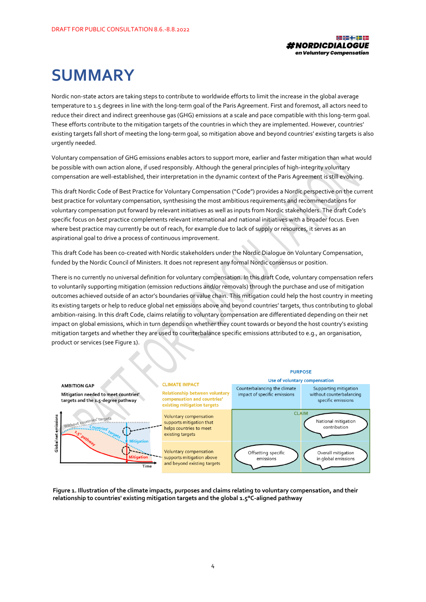

# <span id="page-4-0"></span>**SUMMARY**

Nordic non-state actors are taking steps to contribute to worldwide efforts to limit the increase in the global average temperature to 1.5 degrees in line with the long-term goal of the Paris Agreement. First and foremost, all actors need to reduce their direct and indirect greenhouse gas (GHG) emissions at a scale and pace compatible with this long-term goal. These efforts contribute to the mitigation targets of the countries in which they are implemented. However, countries' existing targets fall short of meeting the long-term goal, so mitigation above and beyond countries' existing targets is also urgently needed.

Voluntary compensation of GHG emissions enables actors to support more, earlier and faster mitigation than what would be possible with own action alone, if used responsibly. Although the general principles of high-integrity voluntary compensation are well-established, their interpretation in the dynamic context of the Paris Agreement is still evolving.

This draft Nordic Code of Best Practice for Voluntary Compensation ("Code") provides a Nordic perspective on the current best practice for voluntary compensation, synthesising the most ambitious requirements and recommendations for voluntary compensation put forward by relevant initiatives as well as inputs from Nordic stakeholders. The draft Code's specific focus on *best* practice complements relevant international and national initiatives with a broader focus. Even where best practice may currently be out of reach, for example due to lack of supply or resources, it serves as an aspirational goal to drive a process of continuous improvement.

This draft Code has been co-created with Nordic stakeholders under the Nordic Dialogue on Voluntary Compensation, funded by the Nordic Council of Ministers. It does not represent any formal Nordic consensus or position.

There is no currently no universal definition for voluntary compensation. In this draft Code, voluntary compensation refers to voluntarily supporting mitigation (emission reductions and/or removals) through the purchase and use of mitigation outcomes achieved outside of an actor's boundaries or value chain. This mitigation could help the host country in meeting its existing targets or help to reduce global net emissions above and beyond countries' targets, thus contributing to global ambition-raising. In this draft Code, claims relating to voluntary compensation are differentiated depending on their net impact on global emissions, which in turn depends on whether they count towards or beyond the host country's existing mitigation targets and whether they are used to counterbalance specific emissions attributed to e.g., an organisation, product or services (se[e Figure 1\)](#page-4-1).



<span id="page-4-1"></span>**Figure 1. Illustration of the climate impacts, purposes and claims relating to voluntary compensation, and their relationship to countries' existing mitigation targets and the global 1.5°C-aligned pathway**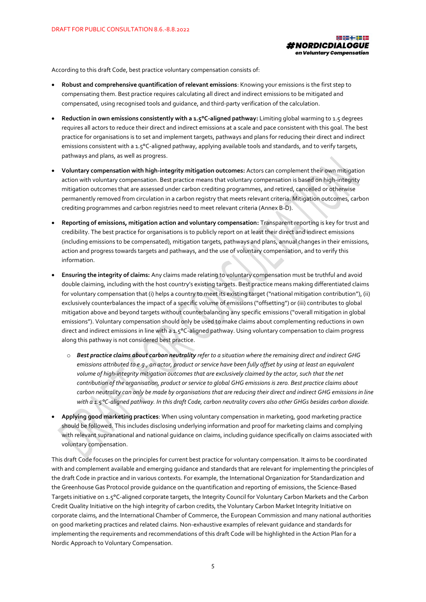

According to this draft Code, best practice voluntary compensation consists of:

- **Robust and comprehensive quantification of relevant emissions**: Knowing your emissions is the first step to compensating them. Best practice requires calculating all direct and indirect emissions to be mitigated and compensated, using recognised tools and guidance, and third-party verification of the calculation.
- **Reduction in own emissions consistently with a 1.5°C-aligned pathway:** Limiting global warming to 1.5 degrees requires all actors to reduce their direct and indirect emissions at a scale and pace consistent with this goal. The best practice for organisations is to set and implement targets, pathways and plans for reducing their direct and indirect emissions consistent with a 1.5°C-aligned pathway, applying available tools and standards, and to verify targets, pathways and plans, as well as progress.
- **Voluntary compensation with high-integrity mitigation outcomes:** Actors can complement their own mitigation action with voluntary compensation. Best practice means that voluntary compensation is based on high-integrity mitigation outcomes that are assessed under carbon crediting programmes, and retired, cancelled or otherwise permanently removed from circulation in a carbon registry that meets relevant criteria. Mitigation outcomes, carbon crediting programmes and carbon registries need to meet relevant criteria (Annex B-D).
- **Reporting of emissions, mitigation action and voluntary compensation:** Transparent reporting is key for trust and credibility. The best practice for organisations is to publicly report on at least their direct and indirect emissions (including emissions to be compensated), mitigation targets, pathways and plans, annual changes in their emissions, action and progress towards targets and pathways, and the use of voluntary compensation, and to verify this information.
- **Ensuring the integrity of claims:** Any claims made relating to voluntary compensation must be truthful and avoid double claiming, including with the host country's existing targets. Best practice means making differentiated claims for voluntary compensation that (i) helps a country to meet its existing target ("national mitigation contribution"), (ii) exclusively counterbalances the impact of a specific volume of emissions ("offsetting") or (iii) contributes to global mitigation above and beyond targets without counterbalancing any specific emissions ("overall mitigation in global emissions"). Voluntary compensation should only be used to make claims about complementing reductions in own direct and indirect emissions in line with a 1.5°C-aligned pathway. Using voluntary compensation to claim progress along this pathway is not considered best practice.
	- o *Best practice claims about carbon neutrality refer to a situation where the remaining direct and indirect GHG emissions attributed to e.g., an actor, product or service have been fully offset by using at least an equivalent volume of high-integrity mitigation outcomes that are exclusively claimed by the actor, such that the net contribution of the organisation, product or service to global GHG emissions is zero. Best practice claims about carbon neutrality can only be made by organisations that are reducing their direct and indirect GHG emissions in line with a 1.5°C-aligned pathway. In this draft Code, carbon neutrality covers also other GHGs besides carbon dioxide.*
- **Applying good marketing practices**: When using voluntary compensation in marketing, good marketing practice should be followed. This includes disclosing underlying information and proof for marketing claims and complying with relevant supranational and national guidance on claims, including guidance specifically on claims associated with voluntary compensation.

This draft Code focuses on the principles for current best practice for voluntary compensation. It aims to be coordinated with and complement available and emerging guidance and standards that are relevant for implementing the principles of the draft Code in practice and in various contexts. For example, the International Organization for Standardization and the Greenhouse Gas Protocol provide guidance on the quantification and reporting of emissions, the Science-Based Targets initiative on 1.5°C-aligned corporate targets, the Integrity Council for Voluntary Carbon Markets and the Carbon Credit Quality Initiative on the high integrity of carbon credits, the Voluntary Carbon Market Integrity Initiative on corporate claims, and the International Chamber of Commerce, the European Commission and many national authorities on good marketing practices and related claims. Non-exhaustive examples of relevant guidance and standards for implementing the requirements and recommendations of this draft Code will be highlighted in the Action Plan for a Nordic Approach to Voluntary Compensation.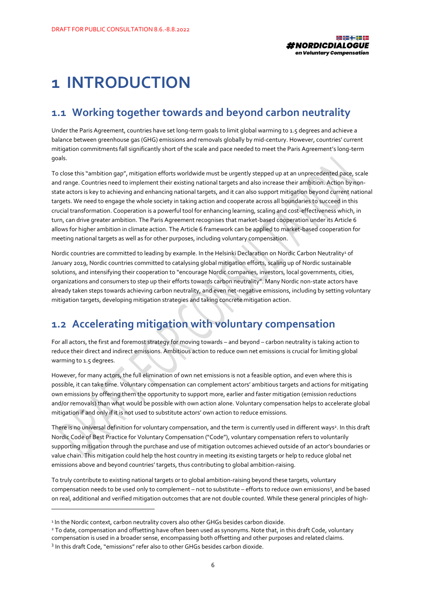

### <span id="page-6-0"></span>**1 INTRODUCTION**

#### <span id="page-6-1"></span>**1.1 Working together towards and beyond carbon neutrality**

Under the Paris Agreement, countries have set long-term goals to limit global warming to 1.5 degrees and achieve a balance between greenhouse gas (GHG) emissions and removals globally by mid-century. However, countries' current mitigation commitments fall significantly short of the scale and pace needed to meet the Paris Agreement's long-term goals.

To close this "ambition gap", mitigation efforts worldwide must be urgently stepped up at an unprecedented pace, scale and range. Countries need to implement their existing national targets and also increase their ambition. Action by nonstate actors is key to achieving and enhancing national targets, and it can also support mitigation beyond current national targets. We need to engage the whole society in taking action and cooperate across all boundaries to succeed in this crucial transformation. Cooperation is a powerful tool for enhancing learning, scaling and cost-effectiveness which, in turn, can drive greater ambition. The Paris Agreement recognises that market-based cooperation under its Article 6 allows for higher ambition in climate action. The Article 6 framework can be applied to market-based cooperation for meeting national targets as well as for other purposes, including voluntary compensation.

Nordic countries are committed to leading by example. In the Helsinki Declaration on Nordic Carbon Neutrality<sup>1</sup> of January 2019, Nordic countries committed to catalysing global mitigation efforts, scaling up of Nordic sustainable solutions, and intensifying their cooperation to "encourage Nordic companies, investors, local governments, cities, organizations and consumers to step up their efforts towards carbon neutrality". Many Nordic non-state actors have already taken steps towards achieving carbon neutrality, and even net-negative emissions, including by setting voluntary mitigation targets, developing mitigation strategies and taking concrete mitigation action.

#### <span id="page-6-2"></span>**1.2 Accelerating mitigation with voluntary compensation**

For all actors, the first and foremost strategy for moving towards – and beyond – carbon neutrality is taking action to reduce their direct and indirect emissions. Ambitious action to reduce own net emissions is crucial for limiting global warming to 1.5 degrees.

However, for many actors, the full elimination of own net emissions is not a feasible option, and even where this is possible, it can take time. Voluntary compensation can complement actors' ambitious targets and actions for mitigating own emissions by offering them the opportunity to support more, earlier and faster mitigation (emission reductions and/or removals) than what would be possible with own action alone. Voluntary compensation helps to accelerate global mitigation if and only if it is not used to substitute actors' own action to reduce emissions.

There is no universal definition for voluntary compensation, and the term is currently used in different ways<sup>2</sup>. In this draft Nordic Code of Best Practice for Voluntary Compensation ("Code"), voluntary compensation refers to voluntarily supporting mitigation through the purchase and use of mitigation outcomes achieved outside of an actor's boundaries or value chain. This mitigation could help the host country in meeting its existing targets or help to reduce global net emissions above and beyond countries' targets, thus contributing to global ambition-raising.

To truly contribute to existing national targets or to global ambition-raising beyond these targets, voluntary compensation needs to be used only to complement - not to substitute - efforts to reduce own emissions<sup>3</sup>, and be based on real, additional and verified mitigation outcomes that are not double counted. While these general principles of high-

<sup>&</sup>lt;sup>1</sup> In the Nordic context, carbon neutrality covers also other GHGs besides carbon dioxide.

<sup>&</sup>lt;sup>2</sup> To date, compensation and offsetting have often been used as synonyms. Note that, in this draft Code, voluntary compensation is used in a broader sense, encompassing both offsetting and other purposes and related claims.

<sup>&</sup>lt;sup>3</sup> In this draft Code, "emissions" refer also to other GHGs besides carbon dioxide.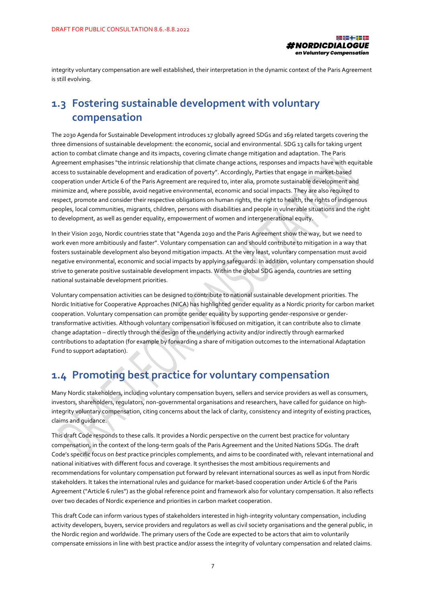

integrity voluntary compensation are well established, their interpretation in the dynamic context of the Paris Agreement is still evolving.

#### <span id="page-7-0"></span>**1.3 Fostering sustainable development with voluntary compensation**

The 2030 Agenda for Sustainable Development introduces 17 globally agreed SDGs and 169 related targets covering the three dimensions of sustainable development: the economic, social and environmental. SDG 13 calls for taking urgent action to combat climate change and its impacts, covering climate change mitigation and adaptation. The Paris Agreement emphasises "the intrinsic relationship that climate change actions, responses and impacts have with equitable access to sustainable development and eradication of poverty". Accordingly, Parties that engage in market-based cooperation under Article 6 of the Paris Agreement are required to, inter alia, promote sustainable development and minimize and, where possible, avoid negative environmental, economic and social impacts. They are also required to respect, promote and consider their respective obligations on human rights, the right to health, the rights of indigenous peoples, local communities, migrants, children, persons with disabilities and people in vulnerable situations and the right to development, as well as gender equality, empowerment of women and intergenerational equity.

In their Vision 2030, Nordic countries state that "Agenda 2030 and the Paris Agreement show the way, but we need to work even more ambitiously and faster". Voluntary compensation can and should contribute to mitigation in a way that fosters sustainable development also beyond mitigation impacts. At the very least, voluntary compensation must avoid negative environmental, economic and social impacts by applying safeguards. In addition, voluntary compensation should strive to generate positive sustainable development impacts. Within the global SDG agenda, countries are setting national sustainable development priorities.

Voluntary compensation activities can be designed to contribute to national sustainable development priorities. The Nordic Initiative for Cooperative Approaches (NICA) has highlighted gender equality as a Nordic priority for carbon market cooperation. Voluntary compensation can promote gender equality by supporting gender-responsive or gendertransformative activities. Although voluntary compensation is focused on mitigation, it can contribute also to climate change adaptation – directly through the design of the underlying activity and/or indirectly through earmarked contributions to adaptation (for example by forwarding a share of mitigation outcomes to the international Adaptation Fund to support adaptation).

### <span id="page-7-1"></span>**1.4 Promoting best practice for voluntary compensation**

Many Nordic stakeholders, including voluntary compensation buyers, sellers and service providers as well as consumers, investors, shareholders, regulators, non-governmental organisations and researchers, have called for guidance on highintegrity voluntary compensation, citing concerns about the lack of clarity, consistency and integrity of existing practices, claims and guidance.

This draft Code responds to these calls. It provides a Nordic perspective on the current best practice for voluntary compensation, in the context of the long-term goals of the Paris Agreement and the United Nations SDGs. The draft Code's specific focus on *best* practice principles complements, and aims to be coordinated with, relevant international and national initiatives with different focus and coverage. It synthesises the most ambitious requirements and recommendations for voluntary compensation put forward by relevant international sources as well as input from Nordic stakeholders. It takes the international rules and guidance for market-based cooperation under Article 6 of the Paris Agreement ("Article 6 rules") as the global reference point and framework also for voluntary compensation. It also reflects over two decades of Nordic experience and priorities in carbon market cooperation.

This draft Code can inform various types of stakeholders interested in high-integrity voluntary compensation, including activity developers, buyers, service providers and regulators as well as civil society organisations and the general public, in the Nordic region and worldwide. The primary users of the Code are expected to be actors that aim to voluntarily compensate emissions in line with best practice and/or assess the integrity of voluntary compensation and related claims.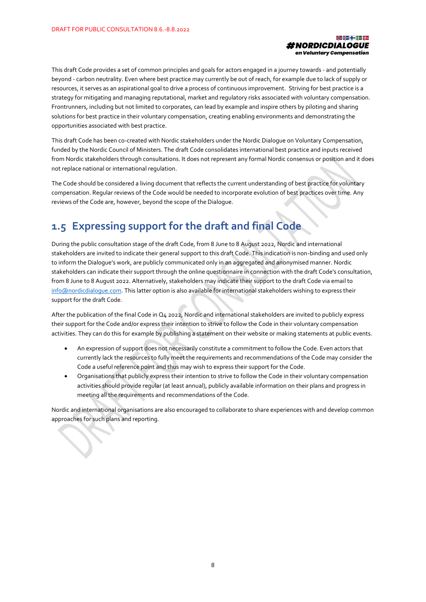

This draft Code provides a set of common principles and goals for actors engaged in a journey towards - and potentially beyond - carbon neutrality. Even where best practice may currently be out of reach, for example due to lack of supply or resources, it serves as an aspirational goal to drive a process of continuous improvement. Striving for best practice is a strategy for mitigating and managing reputational, market and regulatory risks associated with voluntary compensation. Frontrunners, including but not limited to corporates, can lead by example and inspire others by piloting and sharing solutions for best practice in their voluntary compensation, creating enabling environments and demonstrating the opportunities associated with best practice.

This draft Code has been co-created with Nordic stakeholders under the Nordic Dialogue on Voluntary Compensation, funded by the Nordic Council of Ministers. The draft Code consolidates international best practice and inputs received from Nordic stakeholders through consultations. It does not represent any formal Nordic consensus or position and it does not replace national or international regulation.

The Code should be considered a living document that reflects the current understanding of best practice for voluntary compensation. Regular reviews of the Code would be needed to incorporate evolution of best practices over time. Any reviews of the Code are, however, beyond the scope of the Dialogue.

#### <span id="page-8-0"></span>**1.5 Expressing support for the draft and final Code**

During the public consultation stage of the draft Code, from 8 June to 8 August 2022, Nordic and international stakeholders are invited to indicate their general support to this draft Code. This indication is non-binding and used only to inform the Dialogue's work, are publicly communicated only in an aggregated and anonymised manner. Nordic stakeholders can indicate their support through the online questionnaire in connection with the draft Code's consultation, from 8 June to 8 August 2022. Alternatively, stakeholders may indicate their support to the draft Code via email to [info@nordicdialogue.com.](mailto:info@nordicdialogue.com) This latter option is also available for international stakeholders wishing to express their support for the draft Code.

After the publication of the final Code in Q4 2022, Nordic and international stakeholders are invited to publicly express their support for the Code and/or express their intention to strive to follow the Code in their voluntary compensation activities. They can do this for example by publishing a statement on their website or making statements at public events.

- An expression of support does not necessarily constitute a commitment to follow the Code. Even actors that currently lack the resources to fully meet the requirements and recommendations of the Code may consider the Code a useful reference point and thus may wish to express their support for the Code.
- Organisations that publicly express their intention to strive to follow the Code in their voluntary compensation activities should provide regular (at least annual), publicly available information on their plans and progress in meeting all the requirements and recommendations of the Code.

Nordic and international organisations are also encouraged to collaborate to share experiences with and develop common approaches for such plans and reporting.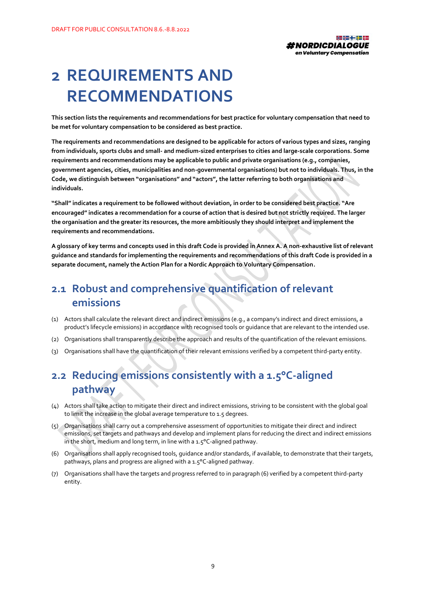

### <span id="page-9-0"></span>**2 REQUIREMENTS AND RECOMMENDATIONS**

**This section lists the requirements and recommendations for best practice for voluntary compensation that need to be met for voluntary compensation to be considered as best practice.**

**The requirements and recommendations are designed to be applicable for actors of various types and sizes, ranging from individuals, sports clubs and small- and medium-sized enterprises to cities and large-scale corporations. Some requirements and recommendations may be applicable to public and private organisations (e.g., companies, government agencies, cities, municipalities and non-governmental organisations) but not to individuals. Thus, in the Code, we distinguish between "organisations" and "actors", the latter referring to both organisations and individuals.** 

**"Shall" indicates a requirement to be followed without deviation, in order to be considered best practice. "Are encouraged" indicates a recommendation for a course of action that is desired but not strictly required. The larger the organisation and the greater its resources, the more ambitiously they should interpret and implement the requirements and recommendations.**

**A glossary of key terms and concepts used in this draft Code is provided in Annex A. A non-exhaustive list of relevant guidance and standards for implementing the requirements and recommendations of this draft Code is provided in a separate document, namely the Action Plan for a Nordic Approach to Voluntary Compensation.** 

#### <span id="page-9-1"></span>**2.1 Robust and comprehensive quantification of relevant emissions**

- (1) Actors shall calculate the relevant direct and indirect emissions (e.g., a company's indirect and direct emissions, a product's lifecycle emissions) in accordance with recognised tools or guidance that are relevant to the intended use.
- (2) Organisations shall transparently describe the approach and results of the quantification of the relevant emissions.
- (3) Organisations shall have the quantification of their relevant emissions verified by a competent third-party entity.

### <span id="page-9-2"></span>**2.2 Reducing emissions consistently with a 1.5°C-aligned pathway**

- $(4)$  Actors shall take action to mitigate their direct and indirect emissions, striving to be consistent with the global goal to limit the increase in the global average temperature to 1.5 degrees.
- (5) Organisations shall carry out a comprehensive assessment of opportunities to mitigate their direct and indirect emissions, set targets and pathways and develop and implement plans for reducing the direct and indirect emissions in the short, medium and long term, in line with a 1.5°C-aligned pathway.
- (6) Organisations shall apply recognised tools, guidance and/or standards, if available, to demonstrate that their targets, pathways, plans and progress are aligned with a 1.5°C-aligned pathway.
- (7) Organisations shall have the targets and progress referred to in paragraph (6) verified by a competent third-party entity.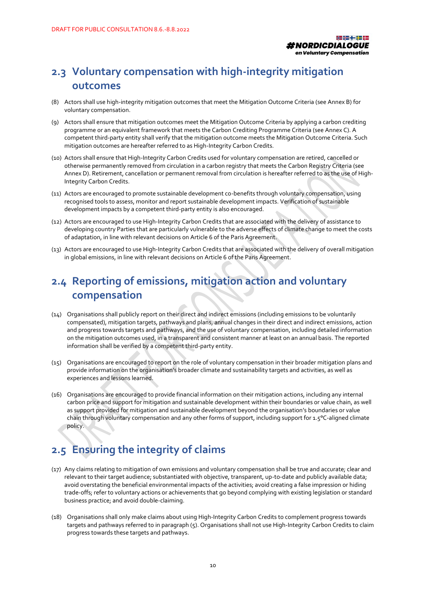

### <span id="page-10-0"></span>**2.3 Voluntary compensation with high-integrity mitigation outcomes**

- (8) Actors shall use high-integrity mitigation outcomes that meet the Mitigation Outcome Criteria (see Annex B) for voluntary compensation.
- (9) Actors shall ensure that mitigation outcomes meet the Mitigation Outcome Criteria by applying a carbon crediting programme or an equivalent framework that meets the Carbon Crediting Programme Criteria (see Annex C). A competent third-party entity shall verify that the mitigation outcome meets the Mitigation Outcome Criteria. Such mitigation outcomes are hereafter referred to as High-Integrity Carbon Credits.
- (10) Actors shall ensure that High-Integrity Carbon Credits used for voluntary compensation are retired, cancelled or otherwise permanently removed from circulation in a carbon registry that meets the Carbon Registry Criteria (see Annex D). Retirement, cancellation or permanent removal from circulation is hereafter referred to as the use of High-Integrity Carbon Credits.
- (11) Actors are encouraged to promote sustainable development co-benefits through voluntary compensation, using recognised tools to assess, monitor and report sustainable development impacts. Verification of sustainable development impacts by a competent third-party entity is also encouraged.
- (12) Actors are encouraged to use High-Integrity Carbon Credits that are associated with the delivery of assistance to developing country Parties that are particularly vulnerable to the adverse effects of climate change to meet the costs of adaptation, in line with relevant decisions on Article 6 of the Paris Agreement.
- (13) Actors are encouraged to use High-Integrity Carbon Credits that are associated with the delivery of overall mitigation in global emissions, in line with relevant decisions on Article 6 of the Paris Agreement.

### <span id="page-10-1"></span>**2.4 Reporting of emissions, mitigation action and voluntary compensation**

- (14) Organisations shall publicly report on their direct and indirect emissions (including emissions to be voluntarily compensated), mitigation targets, pathways and plans, annual changes in their direct and indirect emissions, action and progress towards targets and pathways, and the use of voluntary compensation, including detailed information on the mitigation outcomes used, in a transparent and consistent manner at least on an annual basis. The reported information shall be verified by a competent third-party entity.
- (15) Organisations are encouraged to report on the role of voluntary compensation in their broader mitigation plans and provide information on the organisation's broader climate and sustainability targets and activities, as well as experiences and lessons learned.
- (16) Organisations are encouraged to provide financial information on their mitigation actions, including any internal carbon price and support for mitigation and sustainable development within their boundaries or value chain, as well as support provided for mitigation and sustainable development beyond the organisation's boundaries or value chain through voluntary compensation and any other forms of support, including support for 1.5°C-aligned climate policy.

#### <span id="page-10-2"></span>**2.5 Ensuring the integrity of claims**

- (17) Any claims relating to mitigation of own emissions and voluntary compensation shall be true and accurate; clear and relevant to their target audience; substantiated with objective, transparent, up-to-date and publicly available data; avoid overstating the beneficial environmental impacts of the activities; avoid creating a false impression or hiding trade-offs; refer to voluntary actions or achievements that go beyond complying with existing legislation or standard business practice; and avoid double-claiming.
- (18) Organisations shall only make claims about using High-Integrity Carbon Credits to complement progress towards targets and pathways referred to in paragraph (5). Organisations shall not use High-Integrity Carbon Credits to claim progress towards these targets and pathways.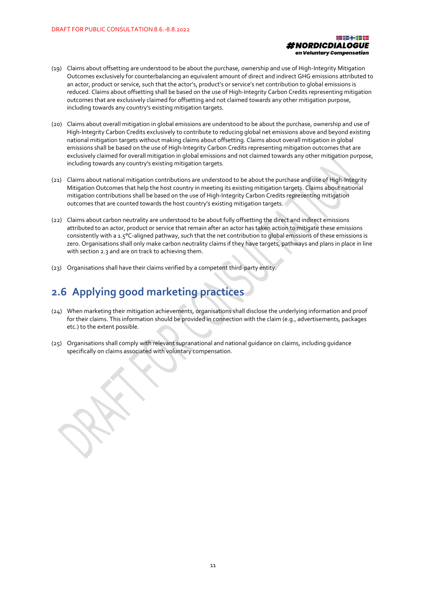

- (19) Claims about offsetting are understood to be about the purchase, ownership and use of High-Integrity Mitigation Outcomes exclusively for counterbalancing an equivalent amount of direct and indirect GHG emissions attributed to an actor, product or service, such that the actor's, product's or service's net contribution to global emissions is reduced. Claims about offsetting shall be based on the use of High-Integrity Carbon Credits representing mitigation outcomes that are exclusively claimed for offsetting and not claimed towards any other mitigation purpose, including towards any country's existing mitigation targets.
- (20) Claims about overall mitigation in global emissions are understood to be about the purchase, ownership and use of High-Integrity Carbon Credits exclusively to contribute to reducing global net emissions above and beyond existing national mitigation targets without making claims about offsetting. Claims about overall mitigation in global emissions shall be based on the use of High-Integrity Carbon Credits representing mitigation outcomes that are exclusively claimed for overall mitigation in global emissions and not claimed towards any other mitigation purpose, including towards any country's existing mitigation targets.
- (21) Claims about national mitigation contributions are understood to be about the purchase and use of High-Integrity Mitigation Outcomes that help the host country in meeting its existing mitigation targets. Claims about national mitigation contributions shall be based on the use of High-Integrity Carbon Credits representing mitigation outcomes that are counted towards the host country's existing mitigation targets.
- (22) Claims about carbon neutrality are understood to be about fully offsetting the direct and indirect emissions attributed to an actor, product or service that remain after an actor has taken action to mitigate these emissions consistently with a 1.5°C-aligned pathway, such that the net contribution to global emissions of these emissions is zero. Organisations shall only make carbon neutrality claims if they have targets, pathways and plans in place in line with section 2.3 and are on track to achieving them.
- (23) Organisations shall have their claims verified by a competent third-party entity.

#### <span id="page-11-0"></span>**2.6 Applying good marketing practices**

- (24) When marketing their mitigation achievements, organisations shall disclose the underlying information and proof for their claims. This information should be provided in connection with the claim (e.g., advertisements, packages etc.) to the extent possible.
- (25) Organisations shall comply with relevant supranational and national guidance on claims, including guidance specifically on claims associated with voluntary compensation.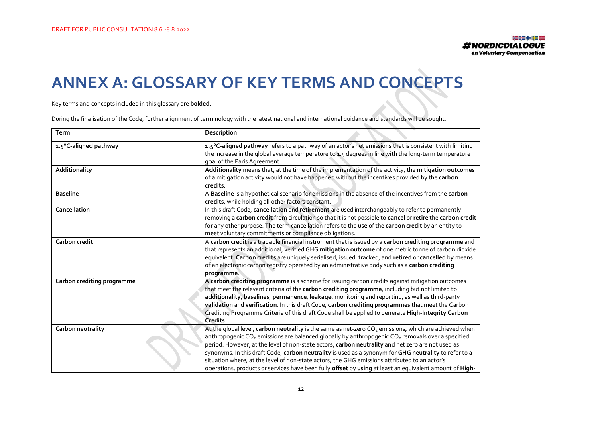# **ANNEX A: GLOSSARY OF KEY TERMS AND CONCEPTS**

Key terms and concepts included in this glossary are **bolded**.

During the finalisation of the Code, further alignment of terminology with the latest national and international guidance and standards will be sought.

<span id="page-12-0"></span>

| Term                       | Description                                                                                                                                                                                                                                                                                                                                                                                                                                                                                                                                                                                                                                                             |
|----------------------------|-------------------------------------------------------------------------------------------------------------------------------------------------------------------------------------------------------------------------------------------------------------------------------------------------------------------------------------------------------------------------------------------------------------------------------------------------------------------------------------------------------------------------------------------------------------------------------------------------------------------------------------------------------------------------|
| 1.5°C-aligned pathway      | 1.5°C-aligned pathway refers to a pathway of an actor's net emissions that is consistent with limiting<br>the increase in the global average temperature to 1.5 degrees in line with the long-term temperature<br>goal of the Paris Agreement.                                                                                                                                                                                                                                                                                                                                                                                                                          |
| Additionality              | Additionality means that, at the time of the implementation of the activity, the mitigation outcomes<br>of a mitigation activity would not have happened without the incentives provided by the carbon<br>credits.                                                                                                                                                                                                                                                                                                                                                                                                                                                      |
| <b>Baseline</b>            | A Baseline is a hypothetical scenario for emissions in the absence of the incentives from the carbon<br>credits, while holding all other factors constant.                                                                                                                                                                                                                                                                                                                                                                                                                                                                                                              |
| Cancellation               | In this draft Code, cancellation and retirement are used interchangeably to refer to permanently<br>removing a carbon credit from circulation so that it is not possible to cancel or retire the carbon credit<br>for any other purpose. The term cancellation refers to the use of the carbon credit by an entity to<br>meet voluntary commitments or compliance obligations.                                                                                                                                                                                                                                                                                          |
| Carbon credit              | A carbon credit is a tradable financial instrument that is issued by a carbon crediting programme and<br>that represents an additional, verified GHG mitigation outcome of one metric tonne of carbon dioxide<br>equivalent. Carbon credits are uniquely serialised, issued, tracked, and retired or cancelled by means<br>of an electronic carbon registry operated by an administrative body such as a carbon crediting<br>programme.                                                                                                                                                                                                                                 |
| Carbon crediting programme | A carbon crediting programme is a scheme for issuing carbon credits against mitigation outcomes<br>that meet the relevant criteria of the carbon crediting programme, including but not limited to<br>additionality, baselines, permanence, leakage, monitoring and reporting, as well as third-party<br>validation and verification. In this draft Code, carbon crediting programmes that meet the Carbon<br>Crediting Programme Criteria of this draft Code shall be applied to generate High-Integrity Carbon<br>Credits.                                                                                                                                            |
| Carbon neutrality          | At the global level, carbon neutrality is the same as net-zero CO <sub>2</sub> emissions, which are achieved when<br>anthropogenic CO <sub>2</sub> emissions are balanced globally by anthropogenic CO <sub>2</sub> removals over a specified<br>period. However, at the level of non-state actors, carbon neutrality and net zero are not used as<br>synonyms. In this draft Code, carbon neutrality is used as a synonym for GHG neutrality to refer to a<br>situation where, at the level of non-state actors, the GHG emissions attributed to an actor's<br>operations, products or services have been fully offset by using at least an equivalent amount of High- |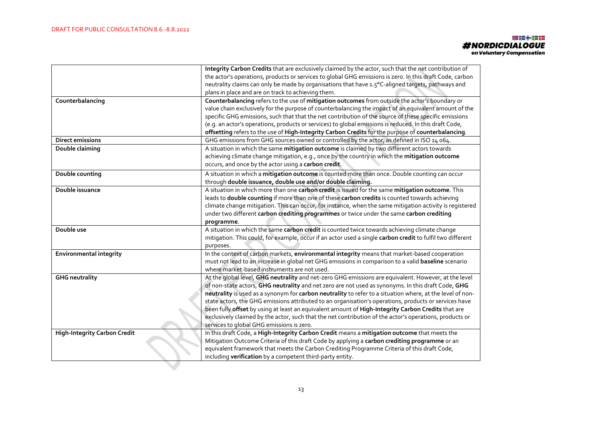#### 내로 대표 나온 <mark>하고</mark> 있는 #NORDICDIALOGUE<br>on Voluntary compensation

|                                     | Integrity Carbon Credits that are exclusively claimed by the actor, such that the net contribution of      |
|-------------------------------------|------------------------------------------------------------------------------------------------------------|
|                                     | the actor's operations, products or services to global GHG emissions is zero. In this draft Code, carbon   |
|                                     | neutrality claims can only be made by organisations that have 1.5°C-aligned targets, pathways and          |
|                                     | plans in place and are on track to achieving them.                                                         |
| Counterbalancing                    | Counterbalancing refers to the use of mitigation outcomes from outside the actor's boundary or             |
|                                     | value chain exclusively for the purpose of counterbalancing the impact of an equivalent amount of the      |
|                                     | specific GHG emissions, such that that the net contribution of the source of these specific emissions      |
|                                     | (e.g. an actor's operations, products or services) to global emissions is reduced. In this draft Code,     |
|                                     | offsetting refers to the use of High-Integrity Carbon Credits for the purpose of counterbalancing.         |
| Direct emissions                    | GHG emissions from GHG sources owned or controlled by the actor, as defined in ISO 14 064.                 |
| Double claiming                     | A situation in which the same mitigation outcome is claimed by two different actors towards                |
|                                     | achieving climate change mitigation, e.g., once by the country in which the mitigation outcome             |
|                                     | occurs, and once by the actor using a carbon credit.                                                       |
| Double counting                     | A situation in which a mitigation outcome is counted more than once. Double counting can occur             |
|                                     | through double issuance, double use and/or double claiming.                                                |
| Double issuance                     | A situation in which more than one carbon credit is issued for the same mitigation outcome. This           |
|                                     | leads to double counting if more than one of these carbon credits is counted towards achieving             |
|                                     | climate change mitigation. This can occur, for instance, when the same mitigation activity is registered   |
|                                     | under two different carbon crediting programmes or twice under the same carbon crediting                   |
|                                     |                                                                                                            |
|                                     | programme.                                                                                                 |
| Double use                          | A situation in which the same carbon credit is counted twice towards achieving climate change              |
|                                     | mitigation. This could, for example, occur if an actor used a single carbon credit to fulfil two different |
|                                     | purposes.                                                                                                  |
| <b>Environmental integrity</b>      | In the context of carbon markets, environmental integrity means that market-based cooperation              |
|                                     | must not lead to an increase in global net GHG emissions in comparison to a valid baseline scenario        |
|                                     | where market-based instruments are not used.                                                               |
| <b>GHG neutrality</b>               | At the global level, GHG neutrality and net-zero GHG emissions are equivalent. However, at the level       |
|                                     | of non-state actors, GHG neutrality and net zero are not used as synonyms. In this draft Code, GHG         |
|                                     | neutrality is used as a synonym for carbon neutrality to refer to a situation where, at the level of non-  |
|                                     | state actors, the GHG emissions attributed to an organisation's operations, products or services have      |
|                                     | been fully offset by using at least an equivalent amount of High-Integrity Carbon Credits that are         |
|                                     | exclusively claimed by the actor, such that the net contribution of the actor's operations, products or    |
|                                     | services to global GHG emissions is zero.                                                                  |
| <b>High-Integrity Carbon Credit</b> | In this draft Code, a High-Integrity Carbon Credit means a mitigation outcome that meets the               |
|                                     | Mitigation Outcome Criteria of this draft Code by applying a carbon crediting programme or an              |
|                                     | equivalent framework that meets the Carbon Crediting Programme Criteria of this draft Code,                |
|                                     | including verification by a competent third-party entity.                                                  |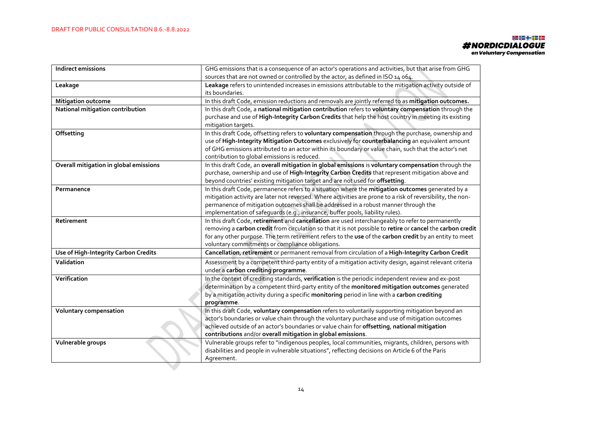#### 내로 대표 나온 <mark>하고</mark> 있는 **#NORDICDIALOGUE** on Voluntary Compensation

| <b>Indirect emissions</b>              | GHG emissions that is a consequence of an actor's operations and activities, but that arise from GHG<br>sources that are not owned or controlled by the actor, as defined in ISO 14 064.                                                                                                                                                                                                  |
|----------------------------------------|-------------------------------------------------------------------------------------------------------------------------------------------------------------------------------------------------------------------------------------------------------------------------------------------------------------------------------------------------------------------------------------------|
| Leakage                                | Leakage refers to unintended increases in emissions attributable to the mitigation activity outside of<br>its boundaries.                                                                                                                                                                                                                                                                 |
| <b>Mitigation outcome</b>              | In this draft Code, emission reductions and removals are jointly referred to as mitigation outcomes.                                                                                                                                                                                                                                                                                      |
| National mitigation contribution       | In this draft Code, a national mitigation contribution refers to voluntary compensation through the<br>purchase and use of High-Integrity Carbon Credits that help the host country in meeting its existing<br>mitigation targets.                                                                                                                                                        |
| Offsetting                             | In this draft Code, offsetting refers to voluntary compensation through the purchase, ownership and<br>use of High-Integrity Mitigation Outcomes exclusively for counterbalancing an equivalent amount<br>of GHG emissions attributed to an actor within its boundary or value chain, such that the actor's net<br>contribution to global emissions is reduced.                           |
| Overall mitigation in global emissions | In this draft Code, an overall mitigation in global emissions is voluntary compensation through the<br>purchase, ownership and use of High-Integrity Carbon Credits that represent mitigation above and<br>beyond countries' existing mitigation target and are not used for offsetting.                                                                                                  |
| Permanence                             | In this draft Code, permanence refers to a situation where the mitigation outcomes generated by a<br>mitigation activity are later not reversed. Where activities are prone to a risk of reversibility, the non-<br>permanence of mitigation outcomes shall be addressed in a robust manner through the<br>implementation of safeguards (e.g., insurance, buffer pools, liability rules). |
| Retirement                             | In this draft Code, retirement and cancellation are used interchangeably to refer to permanently<br>removing a carbon credit from circulation so that it is not possible to retire or cancel the carbon credit<br>for any other purpose. The term retirement refers to the use of the carbon credit by an entity to meet<br>voluntary commitments or compliance obligations.              |
| Use of High-Integrity Carbon Credits   | Cancellation, retirement or permanent removal from circulation of a High-Integrity Carbon Credit                                                                                                                                                                                                                                                                                          |
| Validation                             | Assessment by a competent third-party entity of a mitigation activity design, against relevant criteria<br>under a carbon crediting programme.                                                                                                                                                                                                                                            |
| Verification                           | In the context of crediting standards, verification is the periodic independent review and ex-post<br>determination by a competent third-party entity of the monitored mitigation outcomes generated<br>by a mitigation activity during a specific monitoring period in line with a carbon crediting<br>programme.                                                                        |
| Voluntary compensation                 | In this draft Code, voluntary compensation refers to voluntarily supporting mitigation beyond an<br>actor's boundaries or value chain through the voluntary purchase and use of mitigation outcomes<br>achieved outside of an actor's boundaries or value chain for offsetting, national mitigation<br>contributions and/or overall mitigation in global emissions.                       |
| Vulnerable groups                      | Vulnerable groups refer to "indigenous peoples, local communities, migrants, children, persons with<br>disabilities and people in vulnerable situations", reflecting decisions on Article 6 of the Paris<br>Agreement.                                                                                                                                                                    |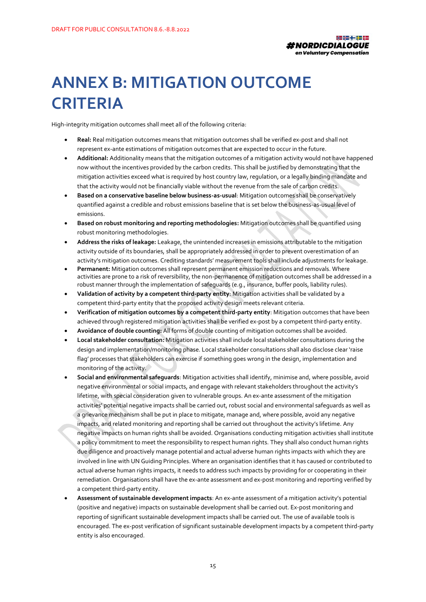

### <span id="page-15-0"></span>**ANNEX B: MITIGATION OUTCOME CRITERIA**

High-integrity mitigation outcomes shall meet all of the following criteria:

- **Real:** Real mitigation outcomes means that mitigation outcomes shall be verified ex-post and shall not represent ex-ante estimations of mitigation outcomes that are expected to occur in the future.
- **Additional:** Additionality means that the mitigation outcomes of a mitigation activity would not have happened now without the incentives provided by the carbon credits. This shall be justified by demonstrating that the mitigation activities exceed what is required by host country law, regulation, or a legally binding mandate and that the activity would not be financially viable without the revenue from the sale of carbon credits.
- **Based on a conservative baseline below business-as-usual**: Mitigation outcomes shall be conservatively quantified against a credible and robust emissions baseline that is set below the business-as-usual level of emissions.
- **Based on robust monitoring and reporting methodologies:** Mitigation outcomes shall be quantified using robust monitoring methodologies.
- **Address the risks of leakage:** Leakage, the unintended increases in emissions attributable to the mitigation activity outside of its boundaries, shall be appropriately addressed in order to prevent overestimation of an activity's mitigation outcomes. Crediting standards' measurement tools shall include adjustments for leakage.
- **Permanent:** Mitigation outcomes shall represent permanent emission reductions and removals. Where activities are prone to a risk of reversibility, the non-permanence of mitigation outcomes shall be addressed in a robust manner through the implementation of safeguards (e.g., insurance, buffer pools, liability rules).
- **Validation of activity by a competent third-party entity**: Mitigation activities shall be validated by a competent third-party entity that the proposed activity design meets relevant criteria.
- **Verification of mitigation outcomes by a competent third-party entity**: Mitigation outcomes that have been achieved through registered mitigation activities shall be verified ex-post by a competent third-party entity.
- **Avoidance of double counting:** All forms of double counting of mitigation outcomes shall be avoided.
- **Local stakeholder consultation:** Mitigation activities shall include local stakeholder consultations during the design and implementation/monitoring phase. Local stakeholder consultations shall also disclose clear 'raise flag' processes that stakeholders can exercise if something goes wrong in the design, implementation and monitoring of the activity.
- **Social and environmental safeguards**: Mitigation activities shall identify, minimise and, where possible, avoid negative environmental or social impacts, and engage with relevant stakeholders throughout the activity's lifetime, with special consideration given to vulnerable groups. An ex-ante assessment of the mitigation activities' potential negative impacts shall be carried out, robust social and environmental safeguards as well as a grievance mechanism shall be put in place to mitigate, manage and, where possible, avoid any negative impacts, and related monitoring and reporting shall be carried out throughout the activity's lifetime. Any negative impacts on human rights shall be avoided. Organisations conducting mitigation activities shall institute a policy commitment to meet the responsibility to respect human rights. They shall also conduct human rights due diligence and proactively manage potential and actual adverse human rights impacts with which they are involved in line with UN Guiding Principles. Where an organisation identifies that it has caused or contributed to actual adverse human rights impacts, it needs to address such impacts by providing for or cooperating in their remediation. Organisations shall have the ex-ante assessment and ex-post monitoring and reporting verified by a competent third-party entity.
- **Assessment of sustainable development impacts**: An ex-ante assessment of a mitigation activity's potential (positive and negative) impacts on sustainable development shall be carried out. Ex-post monitoring and reporting of significant sustainable development impacts shall be carried out. The use of available tools is encouraged. The ex-post verification of significant sustainable development impacts by a competent third-party entity is also encouraged.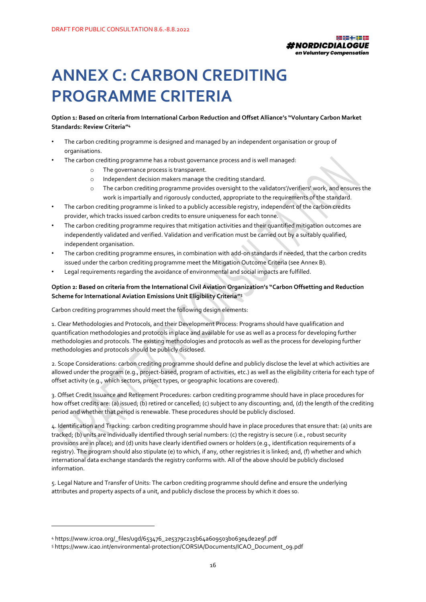

### <span id="page-16-0"></span>**ANNEX C: CARBON CREDITING PROGRAMME CRITERIA**

**Option 1: Based on criteria from International Carbon Reduction and Offset Alliance's "Voluntary Carbon Market Standards: Review Criteria" 4**

- The carbon crediting programme is designed and managed by an independent organisation or group of organisations.
- The carbon crediting programme has a robust governance process and is well managed:
	- o The governance process is transparent.
	- o Independent decision makers manage the crediting standard.
	- o The carbon crediting programme provides oversight to the validators'/verifiers' work, and ensures the work is impartially and rigorously conducted, appropriate to the requirements of the standard.
- The carbon crediting programme is linked to a publicly accessible registry, independent of the carbon credits provider, which tracks issued carbon credits to ensure uniqueness for each tonne.
- The carbon crediting programme requires that mitigation activities and their quantified mitigation outcomes are independently validated and verified. Validation and verification must be carried out by a suitably qualified, independent organisation.
- The carbon crediting programme ensures, in combination with add-on standards if needed, that the carbon credits issued under the carbon crediting programme meet the Mitigation Outcome Criteria (see Annex B).
- Legal requirements regarding the avoidance of environmental and social impacts are fulfilled.

#### **Option 2: Based on criteria from the International Civil Aviation Organization's "Carbon Offsetting and Reduction Scheme for International Aviation Emissions Unit Eligibility Criteria" 5**

Carbon crediting programmes should meet the following design elements:

1. Clear Methodologies and Protocols, and their Development Process: Programs should have qualification and quantification methodologies and protocols in place and available for use as well as a process for developing further methodologies and protocols. The existing methodologies and protocols as well as the process for developing further methodologies and protocols should be publicly disclosed.

2. Scope Considerations: carbon crediting programme should define and publicly disclose the level at which activities are allowed under the program (e.g., project-based, program of activities, etc.) as well as the eligibility criteria for each type of offset activity (e.g., which sectors, project types, or geographic locations are covered).

3. Offset Credit Issuance and Retirement Procedures: carbon crediting programme should have in place procedures for how offset credits are: (a) issued; (b) retired or cancelled; (c) subject to any discounting; and, (d) the length of the crediting period and whether that period is renewable. These procedures should be publicly disclosed.

4. Identification and Tracking: carbon crediting programme should have in place procedures that ensure that: (a) units are tracked; (b) units are individually identified through serial numbers: (c) the registry is secure (i.e., robust security provisions are in place); and (d) units have clearly identified owners or holders (e.g., identification requirements of a registry). The program should also stipulate (e) to which, if any, other registries it is linked; and, (f) whether and which international data exchange standards the registry conforms with. All of the above should be publicly disclosed information.

5. Legal Nature and Transfer of Units: The carbon crediting programme should define and ensure the underlying attributes and property aspects of a unit, and publicly disclose the process by which it does so.

<sup>4</sup> https://www.icroa.org/\_files/ugd/653476\_2e5379c215b64a609503b063e4de2e9f.pdf

<sup>5</sup> https://www.icao.int/environmental-protection/CORSIA/Documents/ICAO\_Document\_09.pdf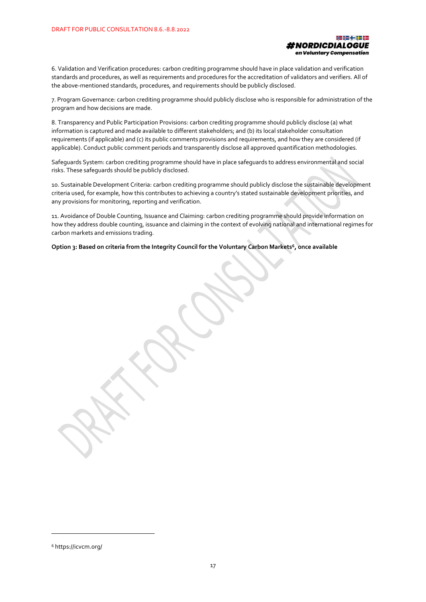

6. Validation and Verification procedures: carbon crediting programme should have in place validation and verification standards and procedures, as well as requirements and procedures for the accreditation of validators and verifiers. All of the above-mentioned standards, procedures, and requirements should be publicly disclosed.

7. Program Governance: carbon crediting programme should publicly disclose who is responsible for administration of the program and how decisions are made.

8. Transparency and Public Participation Provisions: carbon crediting programme should publicly disclose (a) what information is captured and made available to different stakeholders; and (b) its local stakeholder consultation requirements (if applicable) and (c) its public comments provisions and requirements, and how they are considered (if applicable). Conduct public comment periods and transparently disclose all approved quantification methodologies.

Safeguards System: carbon crediting programme should have in place safeguards to address environmental and social risks. These safeguards should be publicly disclosed.

10. Sustainable Development Criteria: carbon crediting programme should publicly disclose the sustainable development criteria used, for example, how this contributes to achieving a country's stated sustainable development priorities, and any provisions for monitoring, reporting and verification.

11. Avoidance of Double Counting, Issuance and Claiming: carbon crediting programme should provide information on how they address double counting, issuance and claiming in the context of evolving national and international regimes for carbon markets and emissions trading.

**Option 3: Based on criteria from the Integrity Council for the Voluntary Carbon Markets<sup>6</sup> , once available**

<sup>6</sup> https://icvcm.org/